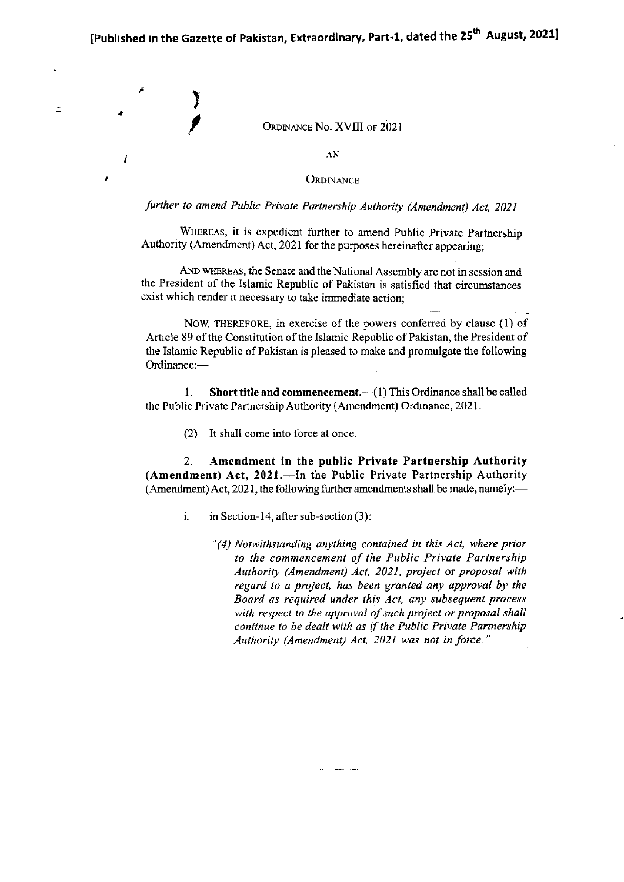\ I I

a

o

 $\tilde{=}$ 

#### ORDINANCE No. XVIII OF 2021

AN

#### ORDINANCE

#### further to amend Public Private Partnership Authority (Amendment) Act, 2021

WHEREAS, it is expedient further to amend Public Private Partnership Authority (Amendment) Act, 2021 for the purposes hereinafter appearing;

AND WHEREAS, the Senate and the National Assembly are not in session and the President of the Islamic Republic of Pakistan is satisfied that circumstances exist which render it necessary to take immediate action;

NOW, THEREFORE, in exercise of the powers conferred by clause (1) of Article 89 of the Constitution of the Islamic Republic of Pakistan, the President of the Islamic Republic of Pakistan is pleased to make and promulgate the following Ordinance:-

1. Short title and commencement. $-$ (1) This Ordinance shall be called the Public Private Partnership Authority (Amendment) Ordinance, 2021 .

(2) It shall come into force at once

2. Amendment in the public Private Partnership Authority (Amendment) Act, 2021.—In the Public Private Partnership Authority (Amendment) Act, 2021, the following further amendments shall be made, namely:-

- i. in Section-14, after sub-section  $(3)$ :
	- "(4) Notwithstanding anything contained in this Act, where prior to the commencement of the Public Private Partnership Authority (Amendment) Act, 2021, project or proposal with regard to a project, has been granted any approval by the Board as required under this Acl, any subsequent process with respect to the approval of such project or proposal shall continue to be dealt with as if the Public Private Partnership Authority (Amendment) Act, 2021 was not in force."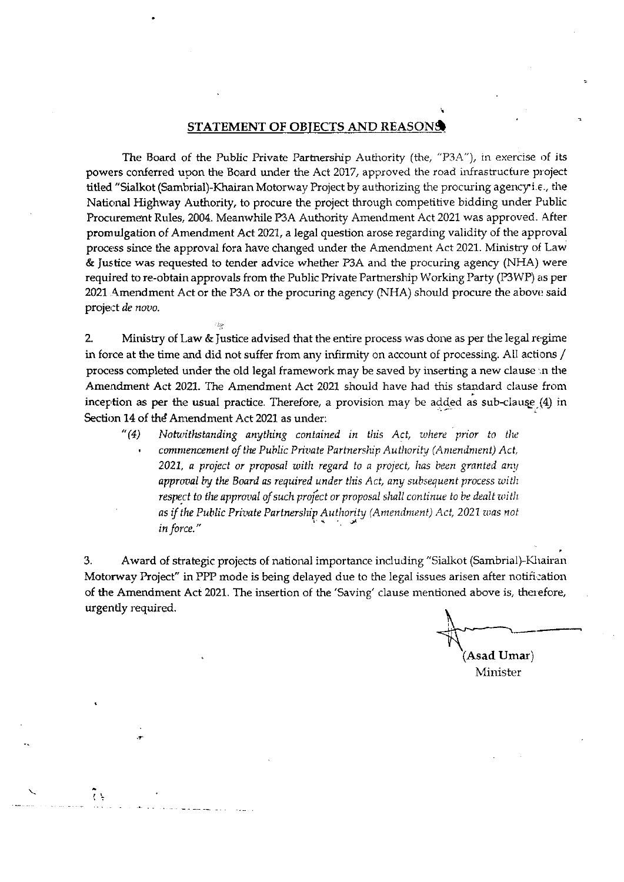#### STATEMENT OF OBJECTS AND REASONS

The Board of the Public Private Partnership Authority (the, "P3A"), in exercise of its powers conferred upon the Board under the Act 2017, approved the road infrastructure project titled "Sialkot (Sambrial)-Khairan Motorway Project by authorizing the procuring agency i.e., the National Highway Authority, to procure the project through competitive bidding under Public Procurement Rules, 2004. Meanwhile P3A Authority Amendment Act 2021 was approved. After promulgation of Amendment Act 2021, a legal question arose regarding validity of the approval process since the approval fora have changed under the Amendment Act 2021. Ministry of Law & Justice was requested to tender advice whether P3A and the procuring agency (NHA) were required to re-obtain approvals from the Public Private Partnership Working Party (P3WP) as per 2021 Amendment Act or the P3A or the procuring agency (NHA) should procure the above said project de novo.

 $2.$ Ministry of Law & Justice advised that the entire process was done as per the legal regime in force at the time and did not suffer from any infirmity on account of processing. All actions / process completed under the old legal framework may be saved by inserting a new clause in the Amendment Act 2021. The Amendment Act 2021 should have had this standard clause from inception as per the usual practice. Therefore, a provision may be added as sub-clause (4) in Section 14 of the Amendment Act 2021 as under:

 $''(4)$ Notwithstanding anything contained in this Act, where prior to the commencement of the Public Private Partnership Authority (Amendment) Act, 2021, a project or proposal with regard to a project, has been granted any approval by the Board as required under this Act, any subsequent process with respect to the approval of such project or proposal shall continue to be dealt with as if the Public Private Partnership Authority (Amendment) Act, 2021 was not in force."

Award of strategic projects of national importance including "Sialkot (Sambrial)-Khairan 3. Motorway Project" in PPP mode is being delayed due to the legal issues arisen after notification of the Amendment Act 2021. The insertion of the 'Saving' clause mentioned above is, therefore, urgently required.

Asad Umar)

Minister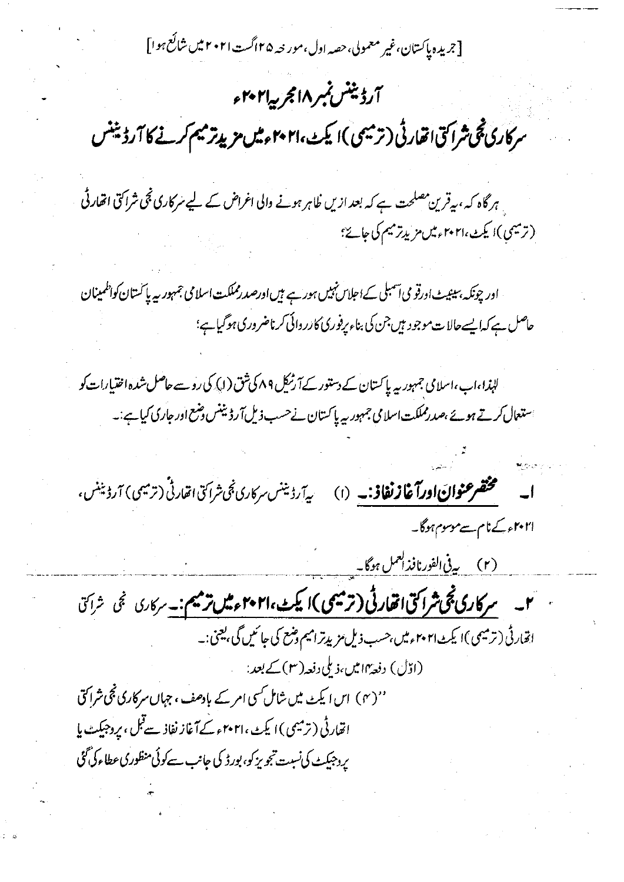[جریده پاکستان،غیر معمولی،حصہ اول،مور حہ ۲۵اگست ۲۰۲۱ میں شائع ہوا]

# آرڈینٹس نمبر ۱۸مجر پیا۲۰۲ ء سرکاری تھی شراکتی اتھارٹی (ترمیمی)ایکٹ،۲۰۲۱ءمیں مزید ترمیم کرنے کا آرڈینٹس ہر گاہ کہ ،بیقرین مصلحت ہے کہ بعد ازیں ظاہر ہونے والی اغراض کے لیے سرکاری نجی شراکتی اتھار ٹی (ترميمي)ا يكث،٢٠٢١ء ميں مزيد ترميم كى جائے؟ اور چونکہ، سینیٹ اورقو می آسمبلی کےاحلاس نہیں ہور ہے ہیں اورصد رمملکت اسلامی جمہوریہ پا کستان کواظمینان حاصل ہے کہا یسے حالات موجود ہیں جن کی بناء پرفوری کارر دائی کرناضروری ہوگیاہے؛ لہٰذا،اب،اسلامی جمہور ریہ پاکستان کے دستور کے آرٹریل ۸۹ کی شق (ا) کی رو سے حاصل شدہ اختیارات کو استعال کرتے ہوئے ،صدرمملکت اسلامی جمہوریہ پاکستان نے حسب ذیل آرڈ بینس دسمع اور جاری کیا ہے :۔ م**ختصر عنوان اورآغازنغاذ:۔** (۱) پ<sub>ی</sub>آرڈیننس سرکاری ٹجی شراکتی ات<sub>قار</sub>ٹی (ترمیمی) آرڈیننس، ا۲۰۲۱ء کے نام سے موسوم ہوگا۔ (۲) بی<sup>ع</sup> الفورنافذ العمل ہوگا۔ **َ ٢۔ مرکاری ٹچی شراکتی اتھارٹی (ترمیمی)ا یکٹ ٢٠٢١ءمیں ترمیم:۔** سرکاری نجی شراکتی اقار ٹی (ترمیمی)ا یکٹ ۲۰۲۱ءمیں بھسب ذیل مزیدترامیم وضع کی جائمیں گی بھنی ۔۔ (اڈل) دفعۂ۱۳میں،ذیلی دفعہ(۳)کے بعد: ''(۴) اس ایکٹ میں شامل کسی امر کے بادھف، جہاں سرکاری ٹجی شراکتی اتھارٹی (ترمیمی )ا یکٹ،۲۰۲۱ء کےآغاز نفاذ سےقبل ، پروجیکٹ پا پر دجیکٹ کی نسبت تجویز کو، بورڈ کی جانب سے کوئی منظوری عطاء کی گئی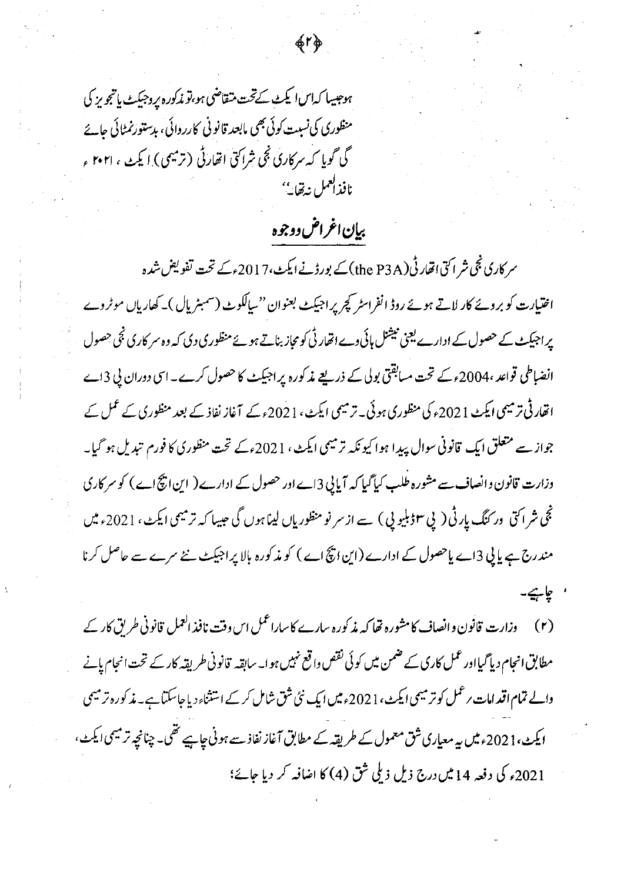ہوجیسا کہاںا یکٹ کےتحت متقاضی ہو،تو مذکورہ پروجیکٹ پاتجویز کی منظوری کی نسبت کوئی بھی مابعد قانو نی کارروائی، بدستورنمٹائی جائے گی گویا که سرکاری نجی شراکتی اتھارٹی (ترمیمی) ایکٹ ، ۲۰۲۱ ء نافذالعمل نهقايب

## بيإن اغراض دوجوه

命し歩

سر کاری نجی شر اکتی اتھار ٹی (the P3A) کے پورڈنے ایکٹ،2017ء کے تحت تفویض شدہ اختیارت کو بروۓ کار لاتے ہوئے روڈ انفراسٹر کچر پر اجیکٹ بعنوان "سالکوٹ (سمبٹریال )۔ کھاریاں موٹروے پر اجیکٹ کے حصول کے ادارے یعنی نیشنل ہائی وے اتھار ٹی کو مجاز بناتے ہوئے منظوری دی کہ وہ سر کاری ٹجی حصول انضباطی قواعد ،2004ء کے تحت مسابقتی بولی کے ذریعے مذکورہ پراجیکٹ کا حصول کرے۔اسی دوران پی 3اے اتھار ٹی ترمیمی ایکٹ 2021ء کی منظوری ہوئی۔ ترمیمی ایکٹ، 2021ء کے آغاز نفاذ کے بعد منظوری کے عمل کے جواز سے متعلق ایک قانونی سوال پیدا ہوا کیونکہ ترمیمی ایکٹ، 2021ء کے تحت منظوری کا فورم تبدیل ہو گیا۔ وزارت قانون وانصاف۔سے مشورہ طلب کیاگیا کہ آیا پی 3اے اور حصول کے ادارے ( این انچ اے ) کو سر کاری نجی شراکتی ور کنگ پارٹی ( پی ۳ڑبلیو پی ) سے از سر نو منظوریاں لیناہوں گی عبیہا کہ ترمیمی ایکٹ ، 2021ء میں مندرج ہے یا پی 3اے پاحصول کے ادارے (این ابچ اے ) کو مذکورہ بالا پراجیکٹ نئے سرے سے حاصل کرنا ' چاہیے.

(۲) دزارت قانون وانصاف کامشورہ تھا کہ مذکورہ سارے کا ساراعمل اس وقت نافذ العمل قانونی طریق کار کے مطابق انجام دیاً گیااور عمل کاری کے ضمن میں کوئی نقص واقع نہیں ہوا۔ سابقہ قانونی طریقہ کار کے تحت انجام پانے والے تمام اقد امات رعمل کو ترمیمی ایکٹ، 2021ءمیں ایک نئی شق شامل کرے استثناء دیاجاسکتاہے۔ مذکورہ ترمیمی ایکٹ،2021ءمیں پہ معیاری شق معمول کے طریقہ کے مطابق آغاز نفاذ سے ہونی چاہیے تھی۔ چنانچہ ترمیمی ایکٹ، 2021ء کی دفعہ 14 میں درج ذیل ذیلی شق (4) کا اضافہ کر دیا جائے؛